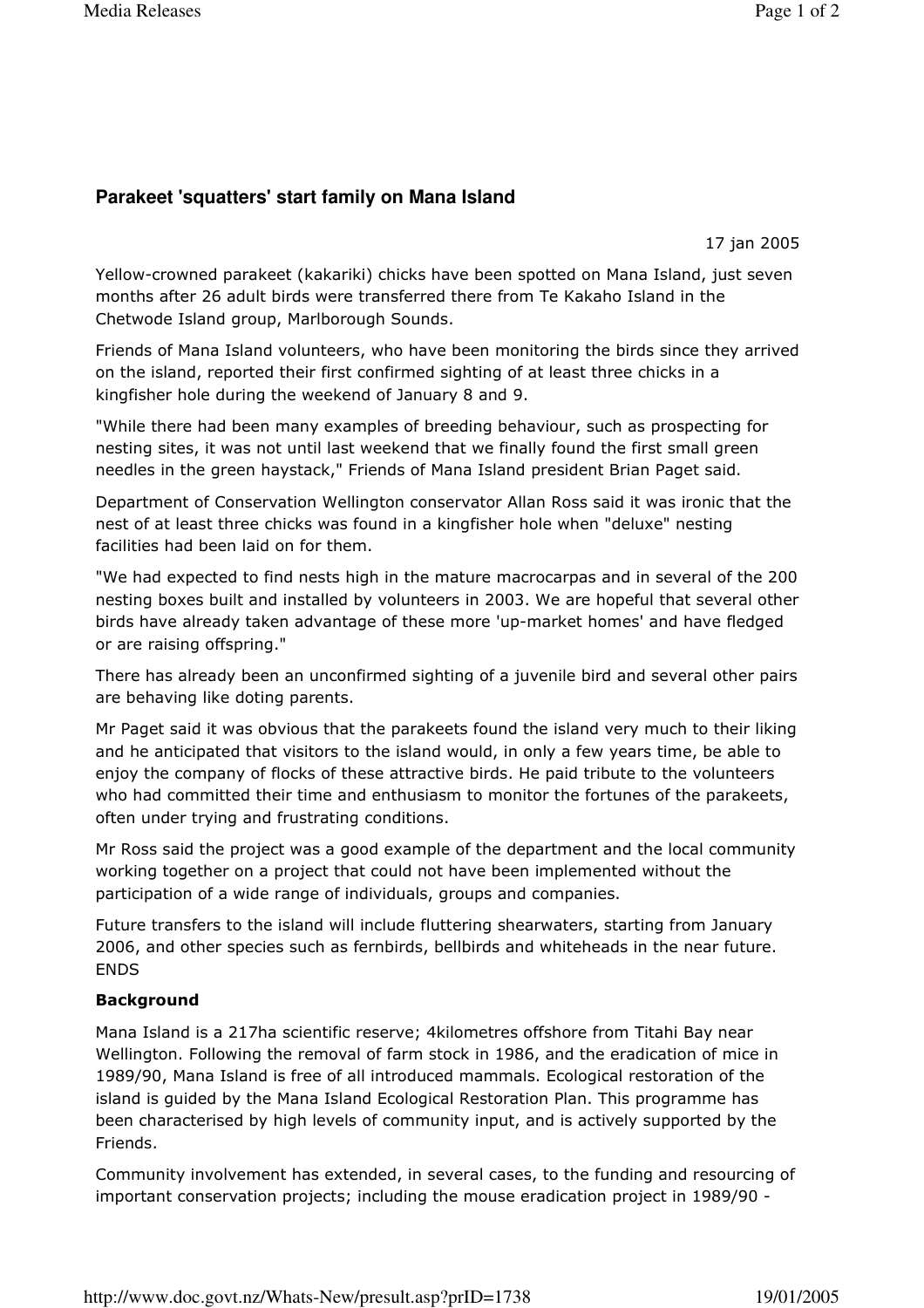## Parakeet 'squatters' start family on Mana Island

17 jan 2005

Yellow-crowned parakeet (kakariki) chicks have been spotted on Mana Island, just seven months after 26 adult birds were transferred there from Te Kakaho Island in the Chetwode Island group, Marlborough Sounds.

Friends of Mana Island volunteers, who have been monitoring the birds since they arrived on the island, reported their first confirmed sighting of at least three chicks in a kingfisher hole during the weekend of January 8 and 9.

"While there had been many examples of breeding behaviour, such as prospecting for nesting sites, it was not until last weekend that we finally found the first small green needles in the green haystack," Friends of Mana Island president Brian Paget said.

Department of Conservation Wellington conservator Allan Ross said it was ironic that the nest of at least three chicks was found in a kingfisher hole when "deluxe" nesting facilities had been laid on for them.

"We had expected to find nests high in the mature macrocarpas and in several of the 200 nesting boxes built and installed by volunteers in 2003. We are hopeful that several other birds have already taken advantage of these more 'up-market homes' and have fledged or are raising offspring."

There has already been an unconfirmed sighting of a juvenile bird and several other pairs are behaving like doting parents.

Mr Paget said it was obvious that the parakeets found the island very much to their liking and he anticipated that visitors to the island would, in only a few years time, be able to enjoy the company of flocks of these attractive birds. He paid tribute to the volunteers who had committed their time and enthusiasm to monitor the fortunes of the parakeets, often under trying and frustrating conditions.

Mr Ross said the project was a good example of the department and the local community working together on a project that could not have been implemented without the participation of a wide range of individuals, groups and companies.

Future transfers to the island will include fluttering shearwaters, starting from January 2006, and other species such as fernbirds, bellbirds and whiteheads in the near future. **ENDS** 

## **Background**

Mana Island is a 217ha scientific reserve; 4kilometres offshore from Titahi Bay near Wellington. Following the removal of farm stock in 1986, and the eradication of mice in 1989/90, Mana Island is free of all introduced mammals. Ecological restoration of the island is quided by the Mana Island Ecological Restoration Plan. This programme has been characterised by high levels of community input, and is actively supported by the Friends.

Community involvement has extended, in several cases, to the funding and resourcing of important conservation projects; including the mouse eradication project in 1989/90 -